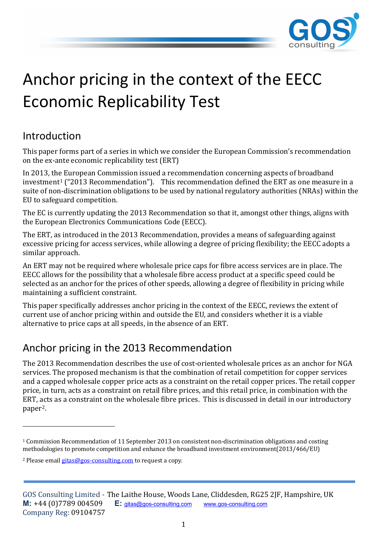

# Anchor pricing in the context of the EECC Economic Replicability Test

### Introduction

This paper forms part of a series in which we consider the European Commission's recommendation on the ex-ante economic replicability test (ERT)

In 2013, the European Commission issued a recommendation concerning aspects of broadband investment<sup>[1](#page-0-0)</sup> ("2013 Recommendation"). This recommendation defined the ERT as one measure in a suite of non-discrimination obligations to be used by national regulatory authorities (NRAs) within the EU to safeguard competition.

The EC is currently updating the 2013 Recommendation so that it, amongst other things, aligns with the European Electronics Communications Code (EECC).

The ERT, as introduced in the 2013 Recommendation, provides a means of safeguarding against excessive pricing for access services, while allowing a degree of pricing flexibility; the EECC adopts a similar approach.

An ERT may not be required where wholesale price caps for fibre access services are in place. The EECC allows for the possibility that a wholesale fibre access product at a specific speed could be selected as an anchor for the prices of other speeds, allowing a degree of flexibility in pricing while maintaining a sufficient constraint.

This paper specifically addresses anchor pricing in the context of the EECC, reviews the extent of current use of anchor pricing within and outside the EU, and considers whether it is a viable alternative to price caps at all speeds, in the absence of an ERT.

# Anchor pricing in the 2013 Recommendation

The 2013 Recommendation describes the use of cost-oriented wholesale prices as an anchor for NGA services. The proposed mechanism is that the combination of retail competition for copper services and a capped wholesale copper price acts as a constraint on the retail copper prices. The retail copper price, in turn, acts as a constraint on retail fibre prices, and this retail price, in combination with the ERT, acts as a constraint on the wholesale fibre prices. This is discussed in detail in our introductory paper<sup>[2](#page-0-1)</sup>.

<span id="page-0-0"></span><sup>1</sup> Commission Recommendation of 11 September 2013 on consistent non-discrimination obligations and costing methodologies to promote competition and enhance the broadband investment environment(2013/466/EU)

<span id="page-0-1"></span><sup>&</sup>lt;sup>2</sup> Please email **gitas@gos-consulting.com** to request a copy.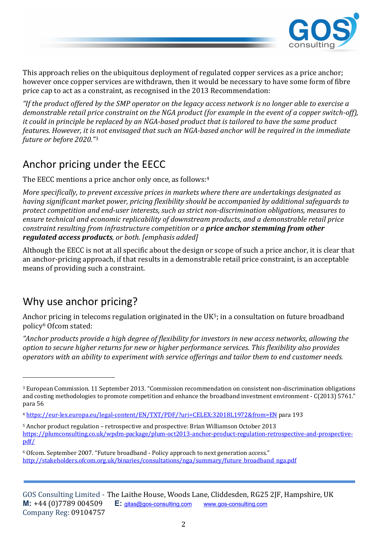

This approach relies on the ubiquitous deployment of regulated copper services as a price anchor; however once copper services are withdrawn, then it would be necessary to have some form of fibre price cap to act as a constraint, as recognised in the 2013 Recommendation:

*"If the product offered by the SMP operator on the legacy access network is no longer able to exercise a demonstrable retail price constraint on the NGA product (for example in the event of a copper switch-off), it could in principle be replaced by an NGA-based product that is tailored to have the same product features. However, it is not envisaged that such an NGA-based anchor will be required in the immediate future or before 2020."*[3](#page-1-0)

### Anchor pricing under the EECC

The EECC mentions a price anchor only once, as follows:<sup>4</sup>

*More specifically, to prevent excessive prices in markets where there are undertakings designated as having significant market power, pricing flexibility should be accompanied by additional safeguards to protect competition and end-user interests, such as strict non-discrimination obligations, measures to ensure technical and economic replicability of downstream products, and a demonstrable retail price constraint resulting from infrastructure competition or a price anchor stemming from other regulated access products, or both. [emphasis added]*

Although the EECC is not at all specific about the design or scope of such a price anchor, it is clear that an anchor-pricing approach, if that results in a demonstrable retail price constraint, is an acceptable means of providing such a constraint.

### Why use anchor pricing?

Anchor pricing in telecoms regulation originated in the UK<sup>5</sup>; in a consultation on future broadband policy[6](#page-1-3) Ofcom stated:

*"Anchor products provide a high degree of flexibility for investors in new access networks, allowing the option to secure higher returns for new or higher performance services. This flexibility also provides operators with an ability to experiment with service offerings and tailor them to end customer needs.* 

<span id="page-1-0"></span><sup>3</sup> European Commission. 11 September 2013. "Commission recommendation on consistent non-discrimination obligations and costing methodologies to promote competition and enhance the broadband investment environment - C(2013) 5761." para 56

<span id="page-1-1"></span><sup>4</sup> <https://eur-lex.europa.eu/legal-content/EN/TXT/PDF/?uri=CELEX:32018L1972&from=EN> para 193

<span id="page-1-2"></span><sup>5</sup> Anchor product regulation – retrospective and prospective: Brian Williamson October 2013 [https://plumconsulting.co.uk/wpdm-package/plum-oct2013-anchor-product-regulation-retrospective-and-prospective](https://plumconsulting.co.uk/wpdm-package/plum-oct2013-anchor-product-regulation-retrospective-and-prospective-pdf/)[pdf/](https://plumconsulting.co.uk/wpdm-package/plum-oct2013-anchor-product-regulation-retrospective-and-prospective-pdf/)

<span id="page-1-3"></span><sup>6</sup> Ofcom. September 2007. "Future broadband - Policy approach to next generation access." [http://stakeholders.ofcom.org.uk/binaries/consultations/nga/summary/future\\_broadband\\_nga.pdf](http://stakeholders.ofcom.org.uk/binaries/consultations/nga/summary/future_broadband_nga.pdf)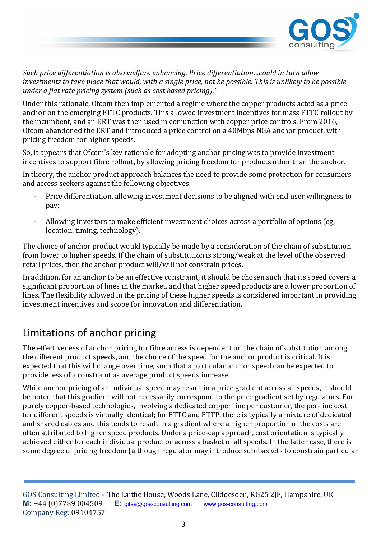

*Such price differentiation is also welfare enhancing. Price differentiation…could in turn allow investments to take place that would, with a single price, not be possible. This is unlikely to be possible under a flat rate pricing system (such as cost based pricing)."*

Under this rationale, Ofcom then implemented a regime where the copper products acted as a price anchor on the emerging FTTC products. This allowed investment incentives for mass FTTC rollout by the incumbent, and an ERT was then used in conjunction with copper price controls. From 2016, Ofcom abandoned the ERT and introduced a price control on a 40Mbps NGA anchor product, with pricing freedom for higher speeds.

So, it appears that Ofcom's key rationale for adopting anchor pricing was to provide investment incentives to support fibre rollout, by allowing pricing freedom for products other than the anchor.

In theory, the anchor product approach balances the need to provide some protection for consumers and access seekers against the following objectives:

- Price differentiation, allowing investment decisions to be aligned with end user willingness to pay;
- Allowing investors to make efficient investment choices across a portfolio of options (eg, location, timing, technology).

The choice of anchor product would typically be made by a consideration of the chain of substitution from lower to higher speeds. If the chain of substitution is strong/weak at the level of the observed retail prices, then the anchor product will/will not constrain prices.

In addition, for an anchor to be an effective constraint, it should be chosen such that its speed covers a significant proportion of lines in the market, and that higher speed products are a lower proportion of lines. The flexibility allowed in the pricing of these higher speeds is considered important in providing investment incentives and scope for innovation and differentiation.

# Limitations of anchor pricing

The effectiveness of anchor pricing for fibre access is dependent on the chain of substitution among the different product speeds, and the choice of the speed for the anchor product is critical. It is expected that this will change over time, such that a particular anchor speed can be expected to provide less of a constraint as average product speeds increase.

While anchor pricing of an individual speed may result in a price gradient across all speeds, it should be noted that this gradient will not necessarily correspond to the price gradient set by regulators. For purely copper-based technologies, involving a dedicated copper line per customer, the per-line cost for different speeds is virtually identical; for FTTC and FTTP, there is typically a mixture of dedicated and shared cables and this tends to result in a gradient where a higher proportion of the costs are often attributed to higher speed products. Under a price-cap approach, cost orientation is typically achieved either for each individual product or across a basket of all speeds. In the latter case, there is some degree of pricing freedom (although regulator may introduce sub-baskets to constrain particular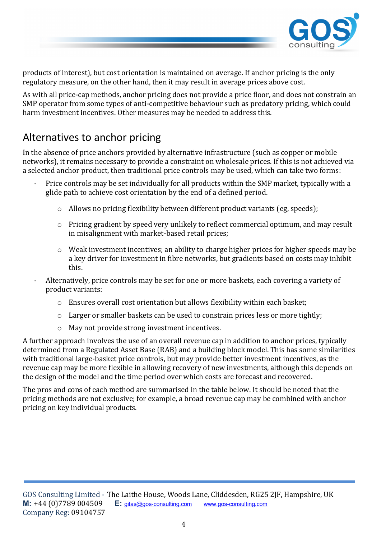

products of interest), but cost orientation is maintained on average. If anchor pricing is the only regulatory measure, on the other hand, then it may result in average prices above cost.

As with all price-cap methods, anchor pricing does not provide a price floor, and does not constrain an SMP operator from some types of anti-competitive behaviour such as predatory pricing, which could harm investment incentives. Other measures may be needed to address this.

### Alternatives to anchor pricing

In the absence of price anchors provided by alternative infrastructure (such as copper or mobile networks), it remains necessary to provide a constraint on wholesale prices. If this is not achieved via a selected anchor product, then traditional price controls may be used, which can take two forms:

- Price controls may be set individually for all products within the SMP market, typically with a glide path to achieve cost orientation by the end of a defined period.
	- $\circ$  Allows no pricing flexibility between different product variants (eg, speeds);
	- o Pricing gradient by speed very unlikely to reflect commercial optimum, and may result in misalignment with market-based retail prices;
	- o Weak investment incentives; an ability to charge higher prices for higher speeds may be a key driver for investment in fibre networks, but gradients based on costs may inhibit this.
- Alternatively, price controls may be set for one or more baskets, each covering a variety of product variants:
	- o Ensures overall cost orientation but allows flexibility within each basket;
	- o Larger or smaller baskets can be used to constrain prices less or more tightly;
	- o May not provide strong investment incentives.

A further approach involves the use of an overall revenue cap in addition to anchor prices, typically determined from a Regulated Asset Base (RAB) and a building block model. This has some similarities with traditional large-basket price controls, but may provide better investment incentives, as the revenue cap may be more flexible in allowing recovery of new investments, although this depends on the design of the model and the time period over which costs are forecast and recovered.

The pros and cons of each method are summarised in the table below. It should be noted that the pricing methods are not exclusive; for example, a broad revenue cap may be combined with anchor pricing on key individual products.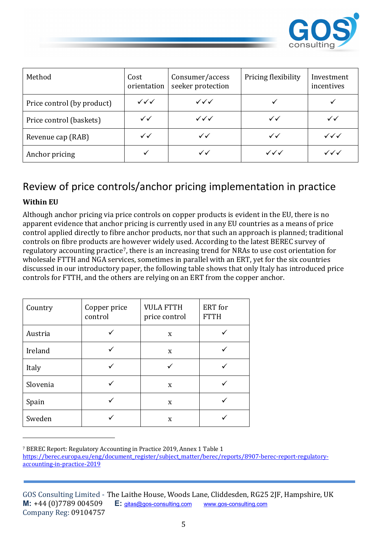

| Method                     | Cost<br>orientation              | Consumer/access<br>seeker protection | Pricing flexibility    | Investment<br>incentives |
|----------------------------|----------------------------------|--------------------------------------|------------------------|--------------------------|
| Price control (by product) | $\checkmark\checkmark\checkmark$ | $\checkmark\checkmark$               |                        |                          |
| Price control (baskets)    | $\checkmark$                     | $\checkmark\checkmark\checkmark$     | $\checkmark$           | $\checkmark$             |
| Revenue cap (RAB)          | $\checkmark$                     | $\checkmark$                         | $\checkmark$           | $\checkmark\checkmark$   |
| Anchor pricing             |                                  | ✓✓                                   | $\checkmark\checkmark$ | $\checkmark\checkmark$   |

### Review of price controls/anchor pricing implementation in practice

#### **Within EU**

Although anchor pricing via price controls on copper products is evident in the EU, there is no apparent evidence that anchor pricing is currently used in any EU countries as a means of price control applied directly to fibre anchor products, nor that such an approach is planned; traditional controls on fibre products are however widely used. According to the latest BEREC survey of regulatory accounting practice<sup>[7](#page-4-0)</sup>, there is an increasing trend for NRAs to use cost orientation for wholesale FTTH and NGA services, sometimes in parallel with an ERT, yet for the six countries discussed in our introductory paper, the following table shows that only Italy has introduced price controls for FTTH, and the others are relying on an ERT from the copper anchor.

| Country  | Copper price<br>control | <b>VULA FTTH</b><br>price control | ERT for<br><b>FTTH</b> |
|----------|-------------------------|-----------------------------------|------------------------|
| Austria  |                         | X                                 |                        |
| Ireland  |                         | X                                 |                        |
| Italy    |                         |                                   |                        |
| Slovenia |                         | X                                 |                        |
| Spain    |                         | X                                 |                        |
| Sweden   |                         | X                                 |                        |

<span id="page-4-0"></span><sup>7</sup> BEREC Report: Regulatory Accounting in Practice 2019, Annex 1 Table 1 [https://berec.europa.eu/eng/document\\_register/subject\\_matter/berec/reports/8907-berec-report-regulatory](https://berec.europa.eu/eng/document_register/subject_matter/berec/reports/8907-berec-report-regulatory-accounting-in-practice-2019)[accounting-in-practice-2019](https://berec.europa.eu/eng/document_register/subject_matter/berec/reports/8907-berec-report-regulatory-accounting-in-practice-2019)

GOS Consulting Limited - The Laithe House, Woods Lane, Cliddesden, RG25 2JF, Hampshire, UK<br>M: +44 (0)7789 004509 E: gitas@gos-consulting.com www.gos-consulting.com **E:** [gitas@gos-consulting.com](mailto:gitas@gos-consulting.com) Company Reg: 09104757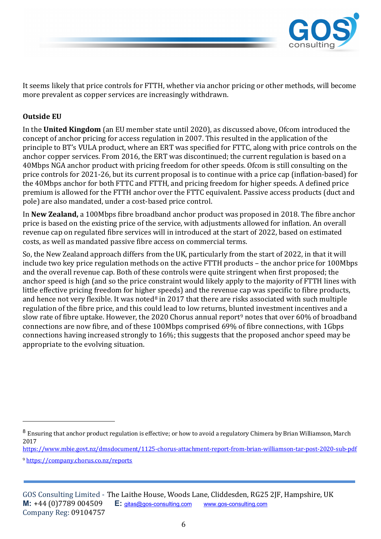

It seems likely that price controls for FTTH, whether via anchor pricing or other methods, will become more prevalent as copper services are increasingly withdrawn.

#### **Outside EU**

In the **United Kingdom** (an EU member state until 2020), as discussed above, Ofcom introduced the concept of anchor pricing for access regulation in 2007. This resulted in the application of the principle to BT's VULA product, where an ERT was specified for FTTC, along with price controls on the anchor copper services. From 2016, the ERT was discontinued; the current regulation is based on a 40Mbps NGA anchor product with pricing freedom for other speeds. Ofcom is still consulting on the price controls for 2021-26, but its current proposal is to continue with a price cap (inflation-based) for the 40Mbps anchor for both FTTC and FTTH, and pricing freedom for higher speeds. A defined price premium is allowed for the FTTH anchor over the FTTC equivalent. Passive access products (duct and pole) are also mandated, under a cost-based price control.

In **New Zealand,** a 100Mbps fibre broadband anchor product was proposed in 2018. The fibre anchor price is based on the existing price of the service, with adjustments allowed for inflation. An overall revenue cap on regulated fibre services will in introduced at the start of 2022, based on estimated costs, as well as mandated passive fibre access on commercial terms.

So, the New Zealand approach differs from the UK, particularly from the start of 2022, in that it will include two key price regulation methods on the active FTTH products – the anchor price for 100Mbps and the overall revenue cap. Both of these controls were quite stringent when first proposed; the anchor speed is high (and so the price constraint would likely apply to the majority of FTTH lines with little effective pricing freedom for higher speeds) and the revenue cap was specific to fibre products, and hence not very flexible. It was noted<sup>[8](#page-5-0)</sup> in 2017 that there are risks associated with such multiple regulation of the fibre price, and this could lead to low returns, blunted investment incentives and a slow rate of fibre uptake. However, the 2020 Chorus annual report<sup>[9](#page-5-1)</sup> notes that over 60% of broadband connections are now fibre, and of these 100Mbps comprised 69% of fibre connections, with 1Gbps connections having increased strongly to 16%; this suggests that the proposed anchor speed may be appropriate to the evolving situation.

<https://www.mbie.govt.nz/dmsdocument/1125-chorus-attachment-report-from-brian-williamson-tar-post-2020-sub-pdf>

GOS Consulting Limited - The Laithe House, Woods Lane, Cliddesden, RG25 2JF, Hampshire, UK<br>M: +44 (0)7789 004509 E: gitas@gos-consulting.com www.gos-consulting.com **E:** [gitas@gos-consulting.com](mailto:gitas@gos-consulting.com) Company Reg: 09104757

<span id="page-5-0"></span><sup>&</sup>lt;sup>8</sup> Ensuring that anchor product regulation is effective; or how to avoid a regulatory Chimera by Brian Williamson, March 2017

<span id="page-5-1"></span><sup>9</sup> <https://company.chorus.co.nz/reports>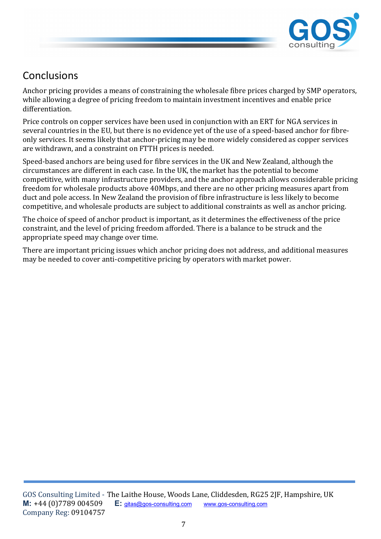

# Conclusions

Anchor pricing provides a means of constraining the wholesale fibre prices charged by SMP operators, while allowing a degree of pricing freedom to maintain investment incentives and enable price differentiation.

Price controls on copper services have been used in conjunction with an ERT for NGA services in several countries in the EU, but there is no evidence yet of the use of a speed-based anchor for fibreonly services. It seems likely that anchor-pricing may be more widely considered as copper services are withdrawn, and a constraint on FTTH prices is needed.

Speed-based anchors are being used for fibre services in the UK and New Zealand, although the circumstances are different in each case. In the UK, the market has the potential to become competitive, with many infrastructure providers, and the anchor approach allows considerable pricing freedom for wholesale products above 40Mbps, and there are no other pricing measures apart from duct and pole access. In New Zealand the provision of fibre infrastructure is less likely to become competitive, and wholesale products are subject to additional constraints as well as anchor pricing.

The choice of speed of anchor product is important, as it determines the effectiveness of the price constraint, and the level of pricing freedom afforded. There is a balance to be struck and the appropriate speed may change over time.

There are important pricing issues which anchor pricing does not address, and additional measures may be needed to cover anti-competitive pricing by operators with market power.